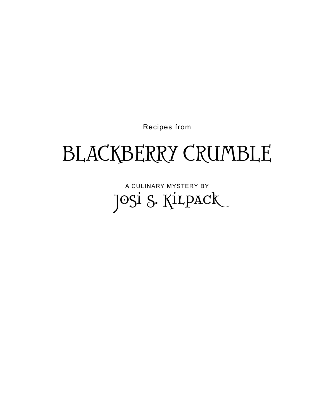

## BLACKBERRY CRUMBLE

Recipes from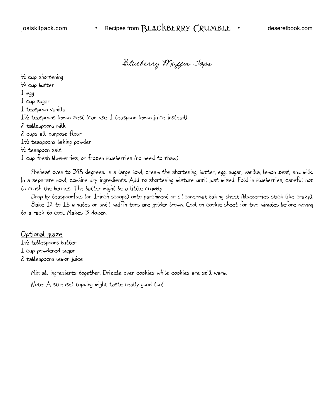Blueberry Muffin Tops

1 ⁄2 cup shortening 1 ⁄4 cup butter 1 egg 1 cup sugar 1 teaspoon vanilla 11 ⁄2 teaspoons lemon zest (can use 1 teaspoon lemon juice instead) 2 tablespoons milk 2 cups all-purpose flour 11 ⁄2 teaspoons baking powder 1 ⁄2 teaspoon salt 1 cup fresh blueberries, or frozen blueberries (no need to thaw)

Preheat oven to 375 degrees. In a large bowl, cream the shortening, butter, egg, sugar, vanilla, lemon zest, and milk. In a separate bowl, combine dry ingredients. Add to shortening mixture until just mixed. Fold in blueberries, careful not to crush the berries. The batter might be a little crumbly.

Drop by teaspoonfuls (or 1-inch scoops) onto parchment or silicone-mat baking sheet (blueberries stick like crazy). Bake 12 to 15 minutes or until muffin tops are golden brown. Cool on cookie sheet for two minutes before moving to a rack to cool. Makes 3 dozen.

Optional glaze 11 ⁄2 tablespoons butter 1 cup powdered sugar 2 tablespoons lemon juice

Mix all ingredients together. Drizzle over cookies while cookies are still warm.

Note: A streusel topping might taste really good too!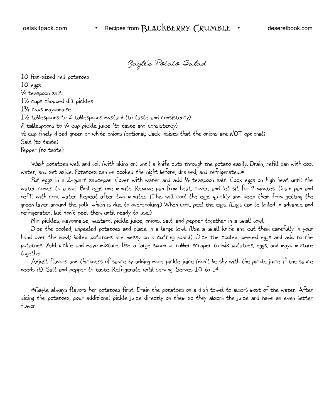Gayle's Potato Salad

10 fist-sized red potatoes 10 eggs 1 ⁄4 teaspoon salt 11 ⁄2 cups chopped dill pickles 13 ⁄4 cups mayonnaise 11 ⁄2 tablespoons to 2 tablespoons mustard (to taste and consistency) 2 tablespoons to 1 ⁄4 cup pickle juice (to taste and consistency)  $^{\text{1}\!\!}/\text{2}$  cup finely diced green or white onions (optional; Jack insists that the onions are NOT optional) Salt (to taste) Pepper (to taste)

Wash potatoes well and boil (with skins on) until a knife cuts through the potato easily. Drain, refill pan with cool water, and set aside. Potatoes can be cooked the night before, drained, and refrigerated.\*

Put eggs in a 2-quart saucepan. Cover with water and add 1 ⁄4 teaspoon salt. Cook eggs on high heat until the water comes to a boil. Boil eggs one minute. Remove pan from heat, cover, and let sit for 9 minutes. Drain pan and refill with cool water. Repeat after two minutes. (This will cool the eggs quickly and keep them from getting the green layer around the yolk, which is due to overcooking.) When cool, peel the eggs. (Eggs can be boiled in advance and refrigerated, but don't peel them until ready to use.)

Mix pickles, mayonnaise, mustard, pickle juice, onions, salt, and pepper together in a small bowl.

Dice the cooled, unpeeled potatoes and place in a large bowl. (Use a small knife and cut them carefully in your hand over the bowl; boiled potatoes are messy on a cutting board). Dice the cooled, peeled eggs and add to the potatoes. Add pickle and mayo mixture. Use a large spoon or rubber scraper to mix potatoes, eggs, and mayo mixture together.

Adjust flavors and thickness of sauce by adding more pickle juice (don't be shy with the pickle juice if the sauce needs it). Salt and pepper to taste. Refrigerate until serving. Serves 10 to 14.

\*Gayle always flavors her potatoes first: Drain the potatoes on a dish towel to absorb most of the water. After dicing the potatoes, pour additional pickle juice directly on them so they absorb the juice and have an even better flavor.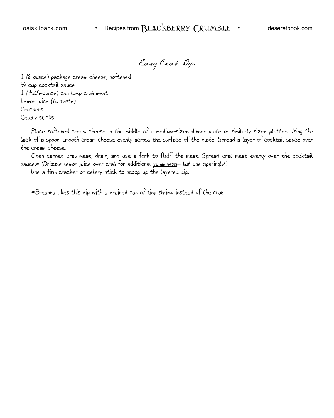Easy Crab Dip

1 (8-ounce) package cream cheese, softened 1 ⁄4 cup cocktail sauce 1 (4.25-ounce) can lump crab meat Lemon juice (to taste) Crackers Celery sticks

Place softened cream cheese in the middle of a medium-sized dinner plate or similarly sized platter. Using the back of a spoon, smooth cream cheese evenly across the surface of the plate. Spread a layer of cocktail sauce over the cream cheese.

Open canned crab meat, drain, and use a fork to fluff the meat. Spread crab meat evenly over the cocktail sauce.\* (Drizzle lemon juice over crab for additional yumminess-but use sparingly!)

Use a firm cracker or celery stick to scoop up the layered dip.

\*Breanna likes this dip with a drained can of tiny shrimp instead of the crab.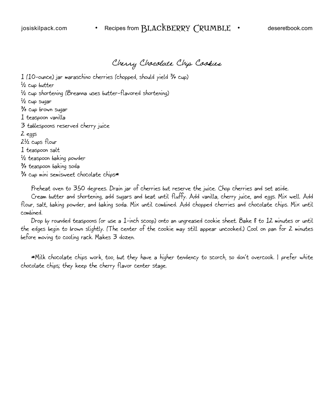Cherry Chocolate Chip Cookies

1 (10-ounce) jar maraschino cherries (chopped, should yield 3 ⁄4 cup)

1 ⁄2 cup butter

1 ⁄2 cup shortening (Breanna uses butter-flavored shortening)

<sup>1</sup>⁄2 cup sugar

3 ⁄4 cup brown sugar

1 teaspoon vanilla

3 tablespoons reserved cherry juice

2 eggs

2½ cups flour

1 teaspoon salt

1 ⁄2 teaspoon baking powder

3 ⁄4 teaspoon baking soda

3 ⁄4 cup mini semisweet chocolate chips\*

Preheat oven to 350 degrees. Drain jar of cherries but reserve the juice. Chop cherries and set aside.

Cream butter and shortening, add sugars and beat until fluffy. Add vanilla, cherry juice, and eggs. Mix well. Add flour, salt, baking powder, and baking soda. Mix until combined. Add chopped cherries and chocolate chips. Mix until combined.

Drop by rounded teaspoons (or use a 1-inch scoop) onto an ungreased cookie sheet. Bake 8 to 12 minutes or until the edges begin to brown slightly. (The center of the cookie may still appear uncooked.) Cool on pan for 2 minutes before moving to cooling rack. Makes 3 dozen.

\*Milk chocolate chips work, too, but they have a higher tendency to scorch, so don't overcook. I prefer white chocolate chips; they keep the cherry flavor center stage.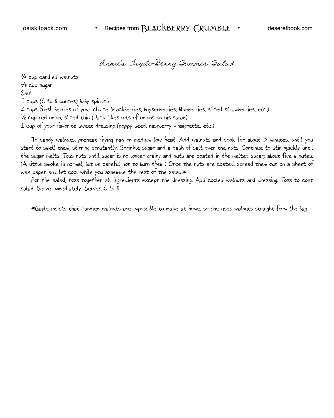Annie's Triple-Berry Summer Salad

3 ⁄4 cup candied walnuts  $^{\mathrm{1\!/\mathrm{s}}$  cup sugar Salt 5 cups (6 to 8 ounces) baby spinach 2 cups fresh berries of your choice (blackberries, boysenberries, blueberries, sliced strawberries, etc.) 1 ⁄2 cup red onion, sliced thin (Jack likes lots of onions on his salad) 1 cup of your favorite sweet dressing (poppy seed, raspberry vinaigrette, etc.)

To candy walnuts, preheat frying pan on medium-low heat. Add walnuts and cook for about 3 minutes, until you start to smell them, stirring constantly. Sprinkle sugar and a dash of salt over the nuts. Continue to stir quickly until the sugar melts. Toss nuts until sugar is no longer grainy and nuts are coated in the melted sugar; about five minutes. (A little smoke is normal, but be careful not to burn them.) Once the nuts are coated, spread them out on a sheet of wax paper and let cool while you assemble the rest of the salad.\*

For the salad, toss together all ingredients except the dressing. Add cooled walnuts and dressing. Toss to coat salad. Serve immediately. Serves 6 to 8.

\*Gayle insists that candied walnuts are impossible to make at home, so she uses walnuts straight from the bag.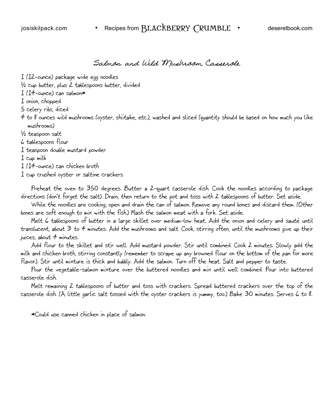Salmon and Wild Mushroom Casserole

1 (12-ounce) package wide egg noodles

1 ⁄2 cup butter, plus 2 tablespoons butter, divided

 $1$  (14-ounce) can salmon\*

1 onion, chopped

5 celery ribs, diced

4 to 8 ounces wild mushrooms (oyster, shiitake, etc.), washed and sliced (quantity should be based on how much you like mushrooms)

1 ⁄2 teaspoon salt

6 tablespoons flour

1 teaspoon double mustard powder

1 cup milk

1 (14-ounce) can chicken broth

1 cup crushed oyster or saltine crackers

Preheat the oven to 350 degrees. Butter a 2-quart casserole dish. Cook the noodles according to package directions (don't forget the salt). Drain, then return to the pot and toss with 2 tablespoons of butter. Set aside.

While the noodles are cooking, open and drain the can of salmon. Remove any round bones and discard them. (Other bones are soft enough to mix with the fish.) Mash the salmon meat with a fork. Set aside.

Melt 6 tablespoons of butter in a large skillet over medium-low heat. Add the onion and celery and sauté until translucent, about 3 to 4 minutes. Add the mushrooms and salt. Cook, stirring often, until the mushrooms give up their juices, about  $4$  minutes.

Add flour to the skillet and stir well. Add mustard powder. Stir until combined. Cook 2 minutes. Slowly add the milk and chicken broth, stirring constantly (remember to scrape up any browned flour on the bottom of the pan for more flavor). Stir until mixture is thick and bubbly. Add the salmon. Turn off the heat. Salt and pepper to taste.

Pour the vegetable-salmon mixture over the buttered noodles and mix until well combined. Pour into buttered casserole dish.

Melt remaining 2 tablespoons of butter and toss with crackers. Spread buttered crackers over the top of the casserole dish. (A little garlic salt tossed with the oyster crackers is yummy, too.) Bake 30 minutes. Serves 6 to 8.

\*Could use canned chicken in place of salmon.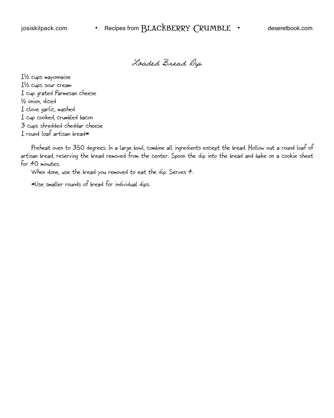Loaded Bread Dip

11 ⁄2 cups mayonnaise 11 ⁄2 cups sour cream 1 cup grated Parmesan cheese 1 ⁄2 onion, diced 1 clove garlic, mashed 1 cup cooked, crumbled bacon 3 cups shredded cheddar cheese  $1$  round loaf artisan bread $*$ 

Preheat oven to 350 degrees. In a large bowl, combine all ingredients except the bread. Hollow out a round loaf of artisan bread, reserving the bread removed from the center. Spoon the dip into the bread and bake on a cookie sheet for 40 minutes.

When done, use the bread you removed to eat the dip. Serves 4.

\*Use smaller rounds of bread for individual dips.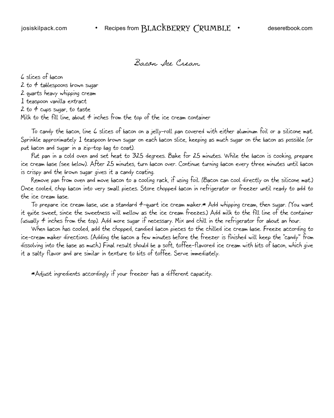Bacon Ice Cream

6 slices of bacon

2 to 4 tablespoons brown sugar 2 quarts heavy whipping cream 1 teaspoon vanilla extract

2 to 4 cups sugar, to taste

Milk to the fill line, about 4 inches from the top of the ice cream container

To candy the bacon, line 6 slices of bacon on a jelly-roll pan covered with either aluminum foil or a silicone mat. Sprinkle approximately 1 teaspoon brown sugar on each bacon slice, keeping as much sugar on the bacon as possible (or put bacon and sugar in a zip-top bag to coat).

Put pan in a cold oven and set heat to 325 degrees. Bake for 25 minutes. While the bacon is cooking, prepare ice cream base (see below). After 25 minutes, turn bacon over. Continue turning bacon every three minutes until bacon is crispy and the brown sugar gives it a candy coating.

Remove pan from oven and move bacon to a cooling rack, if using foil. (Bacon can cool directly on the silicone mat.) Once cooled, chop bacon into very small pieces. Store chopped bacon in refrigerator or freezer until ready to add to the ice cream base.

To prepare ice cream base, use a standard 4-quart ice cream maker.\* Add whipping cream, then sugar. (You want it quite sweet, since the sweetness will mellow as the ice cream freezes.) Add milk to the fill line of the container (usually 4 inches from the top). Add more sugar if necessary. Mix and chill in the refrigerator for about an hour.

When bacon has cooled, add the chopped, candied bacon pieces to the chilled ice cream base. Freeze according to ice-cream maker directions. (Adding the bacon a few minutes before the freezer is finished will keep the "candy" from dissolving into the base as much.) Final result should be a soft, toffee-flavored ice cream with bits of bacon, which give it a salty flavor and are similar in texture to bits of toffee. Serve immediately.

\*Adjust ingredients accordingly if your freezer has a different capacity.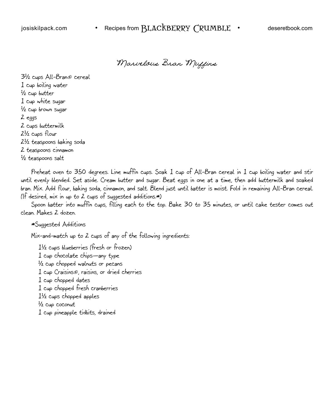Marvelous Bran Muffins

31 ⁄2 cups All-Bran® cereal 1 cup boiling water 1 ⁄2 cup butter 1 cup white sugar 1 ⁄2 cup brown sugar 2 eggs 2 cups buttermilk 21 ⁄2 cups flour 21 ⁄2 teaspoons baking soda 2 teaspoons cinnamon 1 ⁄2 teaspoons salt

Preheat oven to 350 degrees. Line muffin cups. Soak 1 cup of All-Bran cereal in 1 cup boiling water and stir until evenly blended. Set aside. Cream butter and sugar. Beat eggs in one at a time, then add buttermilk and soaked bran. Mix. Add flour, baking soda, cinnamon, and salt. Blend just until batter is moist. Fold in remaining All-Bran cereal. (If desired, mix in up to 2 cups of suggested additions.\*)

Spoon batter into muffin cups, filling each to the top. Bake 30 to 35 minutes, or until cake tester comes out clean. Makes 2 dozen.

\*Suggested Additions

Mix-and-match up to 2 cups of any of the following ingredients:

11 ⁄2 cups blueberries (fresh or frozen) 1 cup chocolate chips—any type 1 ⁄2 cup chopped walnuts or pecans 1 cup Craisins®, raisins, or dried cherries 1 cup chopped dates 1 cup chopped fresh cranberries 11 ⁄2 cups chopped apples 1 ⁄2 cup coconut 1 cup pineapple tidbits, drained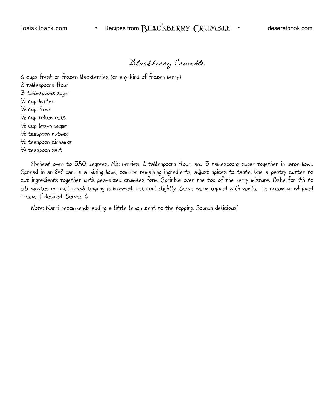Blackberry Crumble

6 cups fresh or frozen blackberries (or any kind of frozen berry)

- 2 tablespoons flour 3 tablespoons sugar
- 
- 1 ⁄2 cup butter
- 1 ⁄2 cup flour
- 1 ⁄2 cup rolled oats
- 1 ⁄2 cup brown sugar 1 ⁄2 teaspoon nutmeg
- 1 ⁄2 teaspoon cinnamon
- 1 ⁄4 teaspoon salt

Preheat oven to 350 degrees. Mix berries, 2 tablespoons flour, and 3 tablespoons sugar together in large bowl. Spread in an 8x8 pan. In a mixing bowl, combine remaining ingredients; adjust spices to taste. Use a pastry cutter to cut ingredients together until pea-sized crumbles form. Sprinkle over the top of the berry mixture. Bake for 45 to 55 minutes or until crumb topping is browned. Let cool slightly. Serve warm topped with vanilla ice cream or whipped cream, if desired. Serves 6.

Note: Karri recommends adding a little lemon zest to the topping. Sounds delicious!